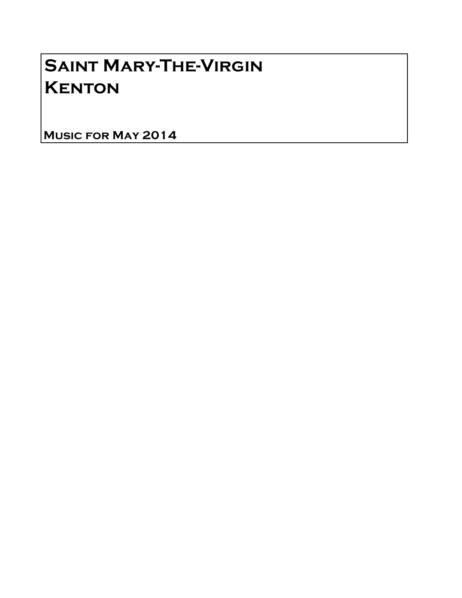## Saint Mary-The-Virgin **KENTON**

Music for May 2014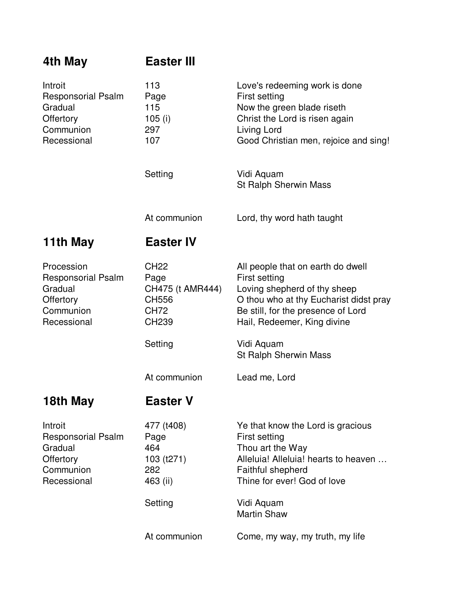| 4th May                                                                                     | <b>Easter III</b>                                                                               |                                                                                                                                                                                                                                           |
|---------------------------------------------------------------------------------------------|-------------------------------------------------------------------------------------------------|-------------------------------------------------------------------------------------------------------------------------------------------------------------------------------------------------------------------------------------------|
| Introit<br><b>Responsorial Psalm</b><br>Gradual<br>Offertory<br>Communion<br>Recessional    | 113<br>Page<br>115<br>105 $(i)$<br>297<br>107                                                   | Love's redeeming work is done<br>First setting<br>Now the green blade riseth<br>Christ the Lord is risen again<br>Living Lord<br>Good Christian men, rejoice and sing!                                                                    |
|                                                                                             | Setting                                                                                         | Vidi Aquam<br><b>St Ralph Sherwin Mass</b>                                                                                                                                                                                                |
|                                                                                             | At communion                                                                                    | Lord, thy word hath taught                                                                                                                                                                                                                |
| 11th May                                                                                    | <b>Easter IV</b>                                                                                |                                                                                                                                                                                                                                           |
| Procession<br><b>Responsorial Psalm</b><br>Gradual<br>Offertory<br>Communion<br>Recessional | <b>CH22</b><br>Page<br>CH475 (t AMR444)<br>CH556<br><b>CH72</b><br>CH <sub>239</sub><br>Setting | All people that on earth do dwell<br>First setting<br>Loving shepherd of thy sheep<br>O thou who at thy Eucharist didst pray<br>Be still, for the presence of Lord<br>Hail, Redeemer, King divine<br>Vidi Aquam                           |
|                                                                                             | At communion                                                                                    | St Ralph Sherwin Mass<br>Lead me, Lord                                                                                                                                                                                                    |
| 18th May                                                                                    | <b>Easter V</b>                                                                                 |                                                                                                                                                                                                                                           |
| Introit<br><b>Responsorial Psalm</b><br>Gradual<br>Offertory<br>Communion<br>Recessional    | 477 (t408)<br>Page<br>464<br>103 (t271)<br>282<br>463 (ii)<br>Setting<br>At communion           | Ye that know the Lord is gracious<br>First setting<br>Thou art the Way<br>Alleluia! Alleluia! hearts to heaven<br>Faithful shepherd<br>Thine for ever! God of love<br>Vidi Aquam<br><b>Martin Shaw</b><br>Come, my way, my truth, my life |